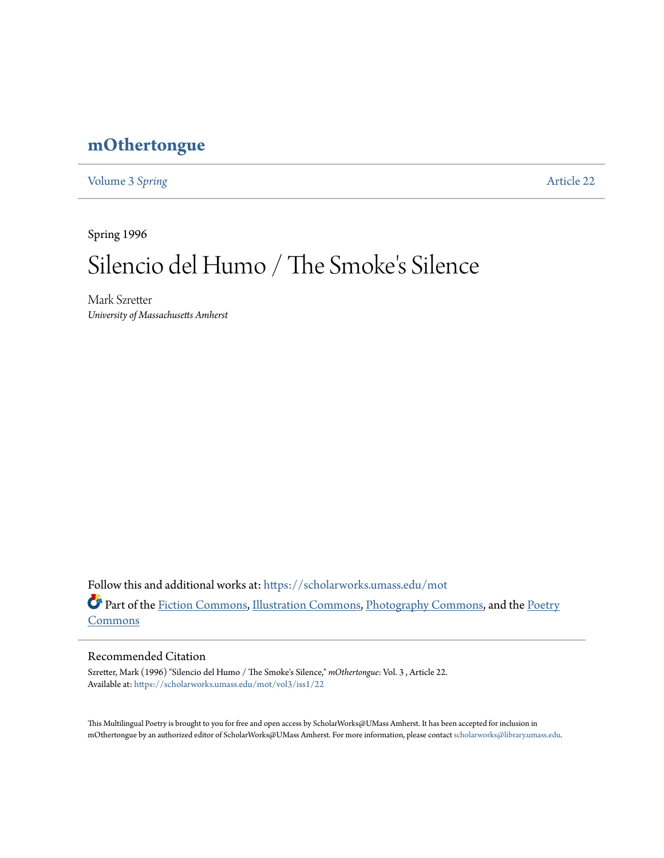# **[mOthertongue](https://scholarworks.umass.edu/mot?utm_source=scholarworks.umass.edu%2Fmot%2Fvol3%2Fiss1%2F22&utm_medium=PDF&utm_campaign=PDFCoverPages)**

[Volume 3](https://scholarworks.umass.edu/mot/vol3?utm_source=scholarworks.umass.edu%2Fmot%2Fvol3%2Fiss1%2F22&utm_medium=PDF&utm_campaign=PDFCoverPages) Spring **[Article 22](https://scholarworks.umass.edu/mot/vol3/iss1/22?utm_source=scholarworks.umass.edu%2Fmot%2Fvol3%2Fiss1%2F22&utm_medium=PDF&utm_campaign=PDFCoverPages)** 

Spring 1996

# Silencio del Humo / The Smoke 's Silence

Mark Szretter *University of Massachusetts Amherst*

Follow this and additional works at: [https://scholarworks.umass.edu/mot](https://scholarworks.umass.edu/mot?utm_source=scholarworks.umass.edu%2Fmot%2Fvol3%2Fiss1%2F22&utm_medium=PDF&utm_campaign=PDFCoverPages) Part of the [Fiction Commons](http://network.bepress.com/hgg/discipline/1151?utm_source=scholarworks.umass.edu%2Fmot%2Fvol3%2Fiss1%2F22&utm_medium=PDF&utm_campaign=PDFCoverPages), [Illustration Commons,](http://network.bepress.com/hgg/discipline/1135?utm_source=scholarworks.umass.edu%2Fmot%2Fvol3%2Fiss1%2F22&utm_medium=PDF&utm_campaign=PDFCoverPages) [Photography Commons,](http://network.bepress.com/hgg/discipline/1142?utm_source=scholarworks.umass.edu%2Fmot%2Fvol3%2Fiss1%2F22&utm_medium=PDF&utm_campaign=PDFCoverPages) and the [Poetry](http://network.bepress.com/hgg/discipline/1153?utm_source=scholarworks.umass.edu%2Fmot%2Fvol3%2Fiss1%2F22&utm_medium=PDF&utm_campaign=PDFCoverPages) [Commons](http://network.bepress.com/hgg/discipline/1153?utm_source=scholarworks.umass.edu%2Fmot%2Fvol3%2Fiss1%2F22&utm_medium=PDF&utm_campaign=PDFCoverPages)

#### Recommended Citation

Szretter, Mark (1996) "Silencio del Humo / The Smoke's Silence," *mOthertongue*: Vol. 3 , Article 22. Available at: [https://scholarworks.umass.edu/mot/vol3/iss1/22](https://scholarworks.umass.edu/mot/vol3/iss1/22?utm_source=scholarworks.umass.edu%2Fmot%2Fvol3%2Fiss1%2F22&utm_medium=PDF&utm_campaign=PDFCoverPages)

This Multilingual Poetry is brought to you for free and open access by ScholarWorks@UMass Amherst. It has been accepted for inclusion in mOthertongue by an authorized editor of ScholarWorks@UMass Amherst. For more information, please contact [scholarworks@library.umass.edu](mailto:scholarworks@library.umass.edu).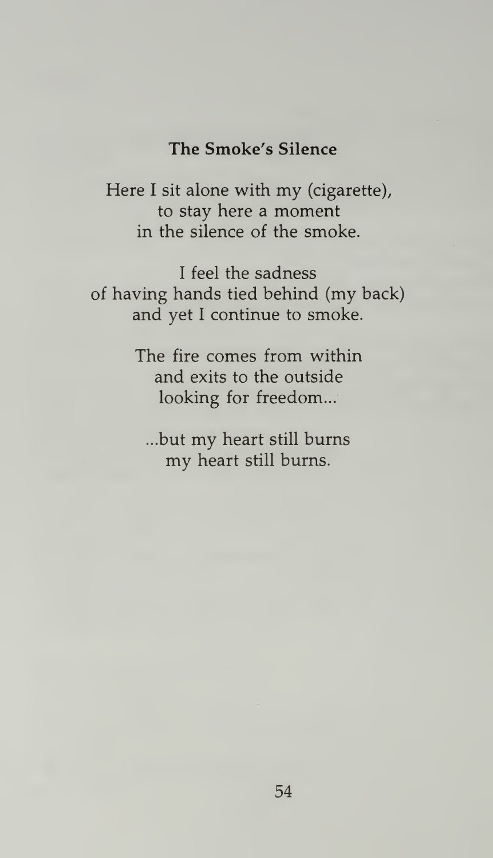## The Smoke's Silence

Here <sup>I</sup> sit alone with my (cigarette), to stay here a moment in the silence of the smoke.

<sup>I</sup> feel the sadness of having hands tied behind (my back) and yet <sup>I</sup> continue to smoke.

> The fire comes from within and exits to the outside looking for freedom...

...but my heart still burns my heart still burns.